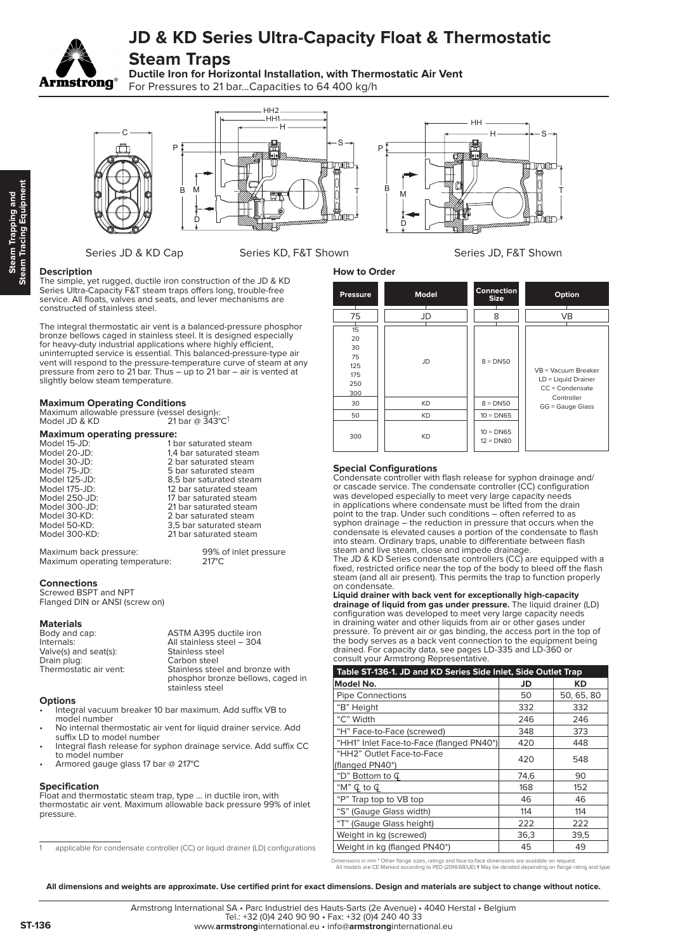# **JD & KD Series Ultra-Capacity Float & Thermostatic**

## **Steam Traps**

**Ductile Iron for Horizontal Installation, with Thermostatic Air Vent** For Pressures to 21 bar...Capacities to 64 400 kg/h







### Series JD & KD Cap Series KD, F&T Shown Series JD, F&T Shown

### **Description**

**Armstrong** 

The simple, yet rugged, ductile iron construction of the JD & KD Series Ultra-Capacity F&T steam traps offers long, trouble-free service. All floats, valves and seats, and lever mechanisms are constructed of stainless steel.

The integral thermostatic air vent is a balanced-pressure phosphor bronze bellows caged in stainless steel. It is designed especially for heavy-duty industrial applications where highly efficient, uninterrupted service is essential. This balanced-pressure-type air vent will respond to the pressure-temperature curve of steam at any pressure from zero to 21 bar. Thus – up to 21 bar – air is vented at slightly below steam temperature.

#### **Maximum Operating Conditions**

| Maximum allowable pressure (vessel design)+: |                                       |  |  |  |
|----------------------------------------------|---------------------------------------|--|--|--|
| Model JD & KD                                | 21 bar @ $343^{\circ}$ C <sup>1</sup> |  |  |  |

**Maximum operating pressure:** Model 15-JD: 1 bar saturated steam<br>
Model 20-JD: 1,4 bar saturated stea Model 20-JD: 1,4 bar saturated steam<br>Model 30-JD: 2 bar saturated steam Model 30-JD: 2 bar saturated steam Model 75-JD: 5 bar saturated steam<br>Model 125-JD: 65 bar saturated steam Model 125-JD: 8,5 bar saturated steam<br>Model 175-JD: 12 bar saturated steam Model 175-JD: 12 bar saturated steam<br>Model 250-JD: 17 bar saturated steam Model 250-JD: 17 bar saturated steam<br>Model 300-JD: 121 bar saturated steam Model 300-JD: 21 bar saturated steam<br>Model 30-KD: 2 bar saturated steam Model 30-KD: 2 bar saturated steam 3.5 bar saturated steam Model 300-KD: 21 bar saturated steam

Maximum back pressure: 99% of inlet pressure<br>Maximum operating temperature: 217°C Maximum operating temperature:

### **Connections**

Screwed BSPT and NPT Flanged DIN or ANSI (screw on)

#### **Materials**

| Body and cap:          | ASTM A395 ductile iron            |
|------------------------|-----------------------------------|
| Internals:             | All stainless steel - 304         |
| Valve(s) and seat(s):  | Stainless steel                   |
| Drain plug:            | Carbon steel                      |
| Thermostatic air vent: | Stainless steel and bronze with   |
|                        | phosphor bronze bellows, caged in |
|                        | stainless steel                   |

#### **Options**

- Integral vacuum breaker 10 bar maximum. Add suffix VB to model number
- No internal thermostatic air vent for liquid drainer service. Add suffix LD to model number
- Integral flash release for syphon drainage service. Add suffix CC to model number
- Armored gauge glass 17 bar @ 217°C

#### **Specification**

Float and thermostatic steam trap, type ... in ductile iron, with thermostatic air vent. Maximum allowable back pressure 99% of inlet pressure.

| <b>How to Order</b> |              |                            |                                                                     |  |  |  |  |
|---------------------|--------------|----------------------------|---------------------------------------------------------------------|--|--|--|--|
| <b>Pressure</b>     | <b>Model</b> | Connection<br><b>Size</b>  | Option                                                              |  |  |  |  |
| 75                  | JD           | 8                          | <b>VB</b>                                                           |  |  |  |  |
| 15                  |              |                            |                                                                     |  |  |  |  |
| 20                  |              |                            |                                                                     |  |  |  |  |
| 30                  |              |                            | $VB =$ Vacuum Breaker<br>$LD =$ Liquid Drainer<br>$CC = Condensate$ |  |  |  |  |
| 75                  | JD           | $8 = DN50$                 |                                                                     |  |  |  |  |
| 125                 |              |                            |                                                                     |  |  |  |  |
| 175                 |              |                            |                                                                     |  |  |  |  |
| 250                 |              |                            |                                                                     |  |  |  |  |
| 300                 |              |                            | Controller                                                          |  |  |  |  |
| 30                  | <b>KD</b>    | $8 = DN50$                 | GG = Gauge Glass                                                    |  |  |  |  |
| 50                  | <b>KD</b>    | $10 = DN65$                |                                                                     |  |  |  |  |
| 300                 | <b>KD</b>    | $10 = DN65$<br>$12 = DNS0$ |                                                                     |  |  |  |  |

#### **Special Configurations**

Condensate controller with flash release for syphon drainage and/ or cascade service. The condensate controller (CC) configuration was developed especially to meet very large capacity needs in applications where condensate must be lifted from the drain point to the trap. Under such conditions – often referred to as syphon drainage – the reduction in pressure that occurs when the condensate is elevated causes a portion of the condensate to flash into steam. Ordinary traps, unable to differentiate between flash steam and live steam, close and impede drainage.

The JD & KD Series condensate controllers (CC) are equipped with a fixed, restricted orifice near the top of the body to bleed off the flash steam (and all air present). This permits the trap to function properly on condensate.

**Liquid drainer with back vent for exceptionally high-capacity drainage of liquid from gas under pressure.** The liquid drainer (LD) configuration was developed to meet very large capacity needs in draining water and other liquids from air or other gases under pressure. To prevent air or gas binding, the access port in the top of the body serves as a back vent connection to the equipment being drained. For capacity data, see pages LD-335 and LD-360 or consult your Armstrong Representative.

| Table ST-136-1. JD and KD Series Side Inlet, Side Outlet Trap |      |            |  |  |  |
|---------------------------------------------------------------|------|------------|--|--|--|
| Model No.                                                     | JD   | KD         |  |  |  |
| <b>Pipe Connections</b>                                       | 50   | 50, 65, 80 |  |  |  |
| "B" Height                                                    | 332  | 332        |  |  |  |
| "C" Width                                                     | 246  | 246        |  |  |  |
| "H" Face-to-Face (screwed)                                    | 348  | 373        |  |  |  |
| "HH1" Inlet Face-to-Face (flanged PN40*)                      | 420  | 448        |  |  |  |
| "HH2" Outlet Face-to-Face                                     | 420  | 548        |  |  |  |
| (flanged PN40*)                                               |      |            |  |  |  |
| "D" Bottom to $\mathbb{G}$                                    | 74.6 | 90         |  |  |  |
| "M" $\mathbb{G}$ to $\mathbb{G}$                              | 168  | 152        |  |  |  |
| "P" Trap top to VB top                                        | 46   | 46         |  |  |  |
| "S" (Gauge Glass width)                                       | 114  | 114        |  |  |  |
| "T" (Gauge Glass height)                                      | 222  | 222        |  |  |  |
| Weight in kg (screwed)                                        | 36,3 | 39,5       |  |  |  |
| Weight in kg (flanged PN40*)                                  | 45   | 49         |  |  |  |

\* Other flange sizes, ratings and face-to-face dimensions are available on request All models are CE Marked according to PED (2014/68/UE) † May be derated depending on flange rating and type.

**All dimensions and weights are approximate. Use certified print for exact dimensions. Design and materials are subject to change without notice.**

applicable for condensate controller (CC) or liquid drainer (LD) configurations